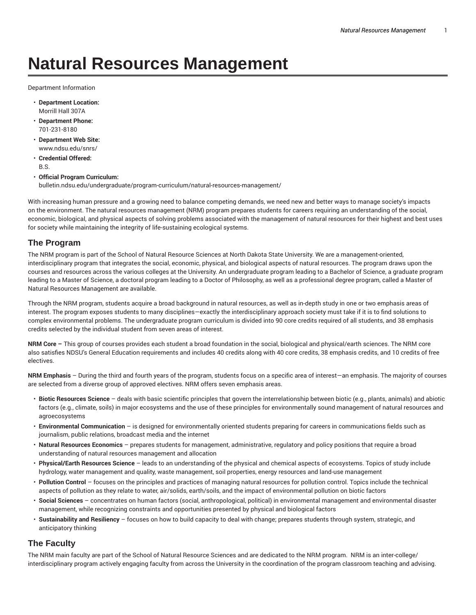# **Natural Resources Management**

Department Information

- **Department Location:** Morrill Hall 307A
- **Department Phone:** 701-231-8180
- **Department Web Site:** www.ndsu.edu/snrs/
- **Credential Offered:** B.S.
- **Official Program Curriculum:** bulletin.ndsu.edu/undergraduate/program-curriculum/natural-resources-management/

With increasing human pressure and a growing need to balance competing demands, we need new and better ways to manage society's impacts on the environment. The natural resources management (NRM) program prepares students for careers requiring an understanding of the social, economic, biological, and physical aspects of solving problems associated with the management of natural resources for their highest and best uses for society while maintaining the integrity of life-sustaining ecological systems.

#### **The Program**

The NRM program is part of the School of Natural Resource Sciences at North Dakota State University. We are a management-oriented, interdisciplinary program that integrates the social, economic, physical, and biological aspects of natural resources. The program draws upon the courses and resources across the various colleges at the University. An undergraduate program leading to a Bachelor of Science, a graduate program leading to a Master of Science, a doctoral program leading to a Doctor of Philosophy, as well as a professional degree program, called a Master of Natural Resources Management are available.

Through the NRM program, students acquire a broad background in natural resources, as well as in-depth study in one or two emphasis areas of interest. The program exposes students to many disciplines—exactly the interdisciplinary approach society must take if it is to find solutions to complex environmental problems. The undergraduate program curriculum is divided into 90 core credits required of all students, and 38 emphasis credits selected by the individual student from seven areas of interest.

**NRM Core –** This group of courses provides each student a broad foundation in the social, biological and physical/earth sciences. The NRM core also satisfies NDSU's General Education requirements and includes 40 credits along with 40 core credits, 38 emphasis credits, and 10 credits of free electives.

**NRM Emphasis** – During the third and fourth years of the program, students focus on a specific area of interest—an emphasis. The majority of courses are selected from a diverse group of approved electives. NRM offers seven emphasis areas.

- **Biotic Resources Science** deals with basic scientific principles that govern the interrelationship between biotic (e.g., plants, animals) and abiotic factors (e.g., climate, soils) in major ecosystems and the use of these principles for environmentally sound management of natural resources and agroecosystems
- **Environmental Communication** is designed for environmentally oriented students preparing for careers in communications fields such as journalism, public relations, broadcast media and the internet
- **Natural Resources Economics** prepares students for management, administrative, regulatory and policy positions that require a broad understanding of natural resources management and allocation
- **Physical/Earth Resources Science** leads to an understanding of the physical and chemical aspects of ecosystems. Topics of study include hydrology, water management and quality, waste management, soil properties, energy resources and land-use management
- **Pollution Control** focuses on the principles and practices of managing natural resources for pollution control. Topics include the technical aspects of pollution as they relate to water, air/solids, earth/soils, and the impact of environmental pollution on biotic factors
- **Social Sciences** concentrates on human factors (social, anthropological, political) in environmental management and environmental disaster management, while recognizing constraints and opportunities presented by physical and biological factors
- **Sustainability and Resiliency** focuses on how to build capacity to deal with change; prepares students through system, strategic, and anticipatory thinking

#### **The Faculty**

The NRM main faculty are part of the School of Natural Resource Sciences and are dedicated to the NRM program. NRM is an inter-college/ interdisciplinary program actively engaging faculty from across the University in the coordination of the program classroom teaching and advising.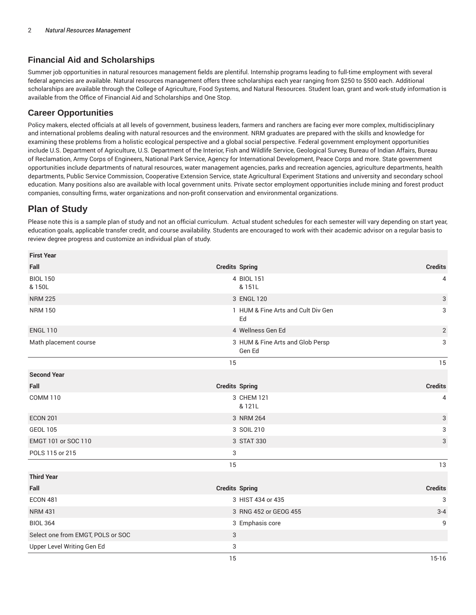## **Financial Aid and Scholarships**

Summer job opportunities in natural resources management fields are plentiful. Internship programs leading to full-time employment with several federal agencies are available. Natural resources management offers three scholarships each year ranging from \$250 to \$500 each. Additional scholarships are available through the College of Agriculture, Food Systems, and Natural Resources. Student loan, grant and work-study information is available from the Office of Financial Aid and Scholarships and One Stop.

#### **Career Opportunities**

Policy makers, elected officials at all levels of government, business leaders, farmers and ranchers are facing ever more complex, multidisciplinary and international problems dealing with natural resources and the environment. NRM graduates are prepared with the skills and knowledge for examining these problems from a holistic ecological perspective and a global social perspective. Federal government employment opportunities include U.S. Department of Agriculture, U.S. Department of the Interior, Fish and Wildlife Service, Geological Survey, Bureau of Indian Affairs, Bureau of Reclamation, Army Corps of Engineers, National Park Service, Agency for International Development, Peace Corps and more. State government opportunities include departments of natural resources, water management agencies, parks and recreation agencies, agriculture departments, health departments, Public Service Commission, Cooperative Extension Service, state Agricultural Experiment Stations and university and secondary school education. Many positions also are available with local government units. Private sector employment opportunities include mining and forest product companies, consulting firms, water organizations and non-profit conservation and environmental organizations.

# **Plan of Study**

Please note this is a sample plan of study and not an official curriculum. Actual student schedules for each semester will vary depending on start year, education goals, applicable transfer credit, and course availability. Students are encouraged to work with their academic advisor on a regular basis to review degree progress and customize an individual plan of study.

| <b>First Year</b>                 |                       |                                            |                |
|-----------------------------------|-----------------------|--------------------------------------------|----------------|
| Fall                              | <b>Credits Spring</b> |                                            | <b>Credits</b> |
| <b>BIOL 150</b><br>& 150L         |                       | 4 BIOL 151<br>& 151L                       | 4              |
| <b>NRM 225</b>                    |                       | 3 ENGL 120                                 | 3              |
| <b>NRM 150</b>                    |                       | 1 HUM & Fine Arts and Cult Div Gen<br>Ed   | 3              |
| <b>ENGL 110</b>                   |                       | 4 Wellness Gen Ed                          | $\mathbf{2}$   |
| Math placement course             |                       | 3 HUM & Fine Arts and Glob Persp<br>Gen Ed | 3              |
|                                   | 15                    |                                            | 15             |
| <b>Second Year</b>                |                       |                                            |                |
| Fall                              | <b>Credits Spring</b> |                                            | <b>Credits</b> |
| <b>COMM 110</b>                   |                       | 3 CHEM 121<br>& 121L                       | 4              |
| <b>ECON 201</b>                   |                       | 3 NRM 264                                  | 3              |
| <b>GEOL 105</b>                   |                       | 3 SOIL 210                                 | 3              |
| EMGT 101 or SOC 110               |                       | 3 STAT 330                                 | 3              |
| POLS 115 or 215                   | 3                     |                                            |                |
|                                   | 15                    |                                            | 13             |
| <b>Third Year</b>                 |                       |                                            |                |
| Fall                              | <b>Credits Spring</b> |                                            | <b>Credits</b> |
| <b>ECON 481</b>                   |                       | 3 HIST 434 or 435                          | 3              |
| <b>NRM 431</b>                    |                       | 3 RNG 452 or GEOG 455                      | $3 - 4$        |
| <b>BIOL 364</b>                   |                       | 3 Emphasis core                            | 9              |
| Select one from EMGT, POLS or SOC | 3                     |                                            |                |
| Upper Level Writing Gen Ed        | 3                     |                                            |                |
|                                   | 15                    |                                            | $15 - 16$      |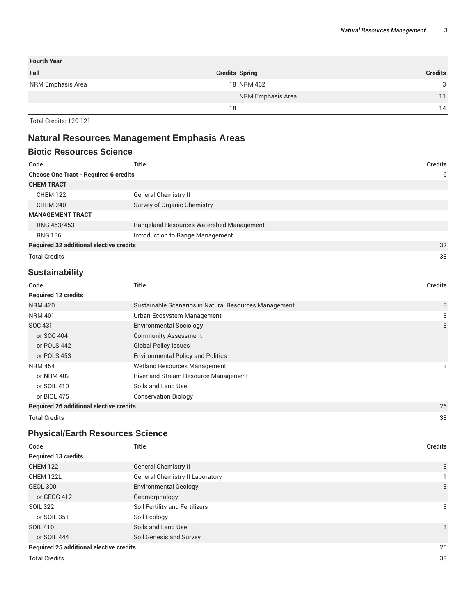| <b>Fourth Year</b> |                       |                |
|--------------------|-----------------------|----------------|
| Fall               | <b>Credits Spring</b> | <b>Credits</b> |
| NRM Emphasis Area  | 18 NRM 462            | 3              |
|                    | NRM Emphasis Area     | 11             |
|                    | 18                    | 14             |

Total Credits: 120-121

# **Natural Resources Management Emphasis Areas**

| <b>Biotic Resources Science</b>                |                                          |                |
|------------------------------------------------|------------------------------------------|----------------|
| Code                                           | Title                                    | <b>Credits</b> |
| <b>Choose One Tract - Required 6 credits</b>   |                                          | 6              |
| <b>CHEM TRACT</b>                              |                                          |                |
| <b>CHEM 122</b>                                | <b>General Chemistry II</b>              |                |
| <b>CHEM 240</b>                                | Survey of Organic Chemistry              |                |
| <b>MANAGEMENT TRACT</b>                        |                                          |                |
| RNG 453/453                                    | Rangeland Resources Watershed Management |                |
| <b>RNG 136</b>                                 | Introduction to Range Management         |                |
| <b>Required 32 additional elective credits</b> |                                          | 32             |
| <b>Total Credits</b>                           |                                          | 38             |

## **Sustainability**

| Code                                           | Title                                                 | <b>Credits</b> |
|------------------------------------------------|-------------------------------------------------------|----------------|
| <b>Required 12 credits</b>                     |                                                       |                |
| <b>NRM 420</b>                                 | Sustainable Scenarios in Natural Resources Management | 3              |
| <b>NRM 401</b>                                 | Urban-Ecosystem Management                            | 3              |
| SOC 431                                        | <b>Environmental Sociology</b>                        | 3              |
| or SOC 404                                     | <b>Community Assessment</b>                           |                |
| or POLS 442                                    | <b>Global Policy Issues</b>                           |                |
| or POLS 453                                    | <b>Environmental Policy and Politics</b>              |                |
| <b>NRM 454</b>                                 | <b>Wetland Resources Management</b>                   | 3              |
| or NRM 402                                     | River and Stream Resource Management                  |                |
| or SOIL 410                                    | Soils and Land Use                                    |                |
| or BIOL 475                                    | <b>Conservation Biology</b>                           |                |
| <b>Required 26 additional elective credits</b> |                                                       | 26             |

Total Credits 38

## **Physical/Earth Resources Science**

| Code                                           | <b>Title</b>                    | <b>Credits</b> |
|------------------------------------------------|---------------------------------|----------------|
| <b>Required 13 credits</b>                     |                                 |                |
| <b>CHEM 122</b>                                | <b>General Chemistry II</b>     | 3              |
| CHEM 122L                                      | General Chemistry II Laboratory |                |
| GEOL 300                                       | <b>Environmental Geology</b>    | 3              |
| or GEOG 412                                    | Geomorphology                   |                |
| <b>SOIL 322</b>                                | Soil Fertility and Fertilizers  | 3              |
| or SOIL 351                                    | Soil Ecology                    |                |
| <b>SOIL 410</b>                                | Soils and Land Use              | 3              |
| or SOIL 444                                    | Soil Genesis and Survey         |                |
| <b>Required 25 additional elective credits</b> |                                 | 25             |
| <b>Total Credits</b>                           |                                 | 38             |